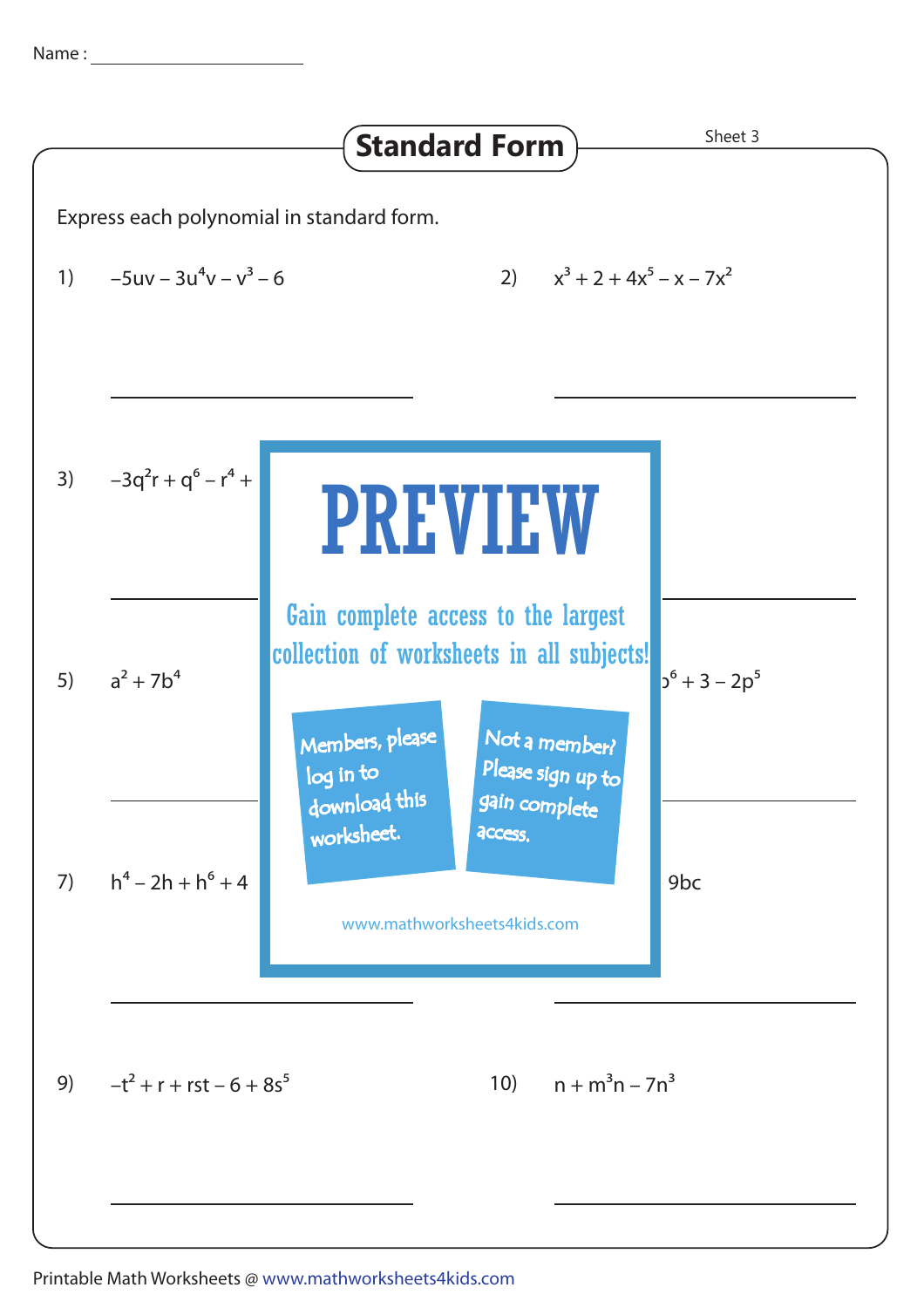